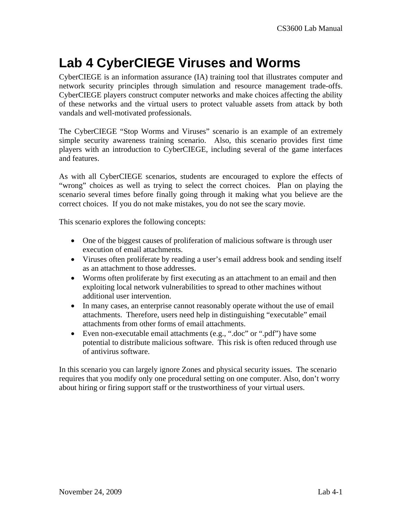## **Lab 4 CyberCIEGE Viruses and Worms**

CyberCIEGE is an information assurance (IA) training tool that illustrates computer and network security principles through simulation and resource management trade-offs. CyberCIEGE players construct computer networks and make choices affecting the ability of these networks and the virtual users to protect valuable assets from attack by both vandals and well-motivated professionals.

The CyberCIEGE "Stop Worms and Viruses" scenario is an example of an extremely simple security awareness training scenario. Also, this scenario provides first time players with an introduction to CyberCIEGE, including several of the game interfaces and features.

As with all CyberCIEGE scenarios, students are encouraged to explore the effects of "wrong" choices as well as trying to select the correct choices. Plan on playing the scenario several times before finally going through it making what you believe are the correct choices. If you do not make mistakes, you do not see the scary movie.

This scenario explores the following concepts:

- One of the biggest causes of proliferation of malicious software is through user execution of email attachments.
- Viruses often proliferate by reading a user's email address book and sending itself as an attachment to those addresses.
- Worms often proliferate by first executing as an attachment to an email and then exploiting local network vulnerabilities to spread to other machines without additional user intervention.
- In many cases, an enterprise cannot reasonably operate without the use of email attachments. Therefore, users need help in distinguishing "executable" email attachments from other forms of email attachments.
- Even non-executable email attachments (e.g., ".doc" or ".pdf") have some potential to distribute malicious software. This risk is often reduced through use of antivirus software.

In this scenario you can largely ignore Zones and physical security issues. The scenario requires that you modify only one procedural setting on one computer. Also, don't worry about hiring or firing support staff or the trustworthiness of your virtual users.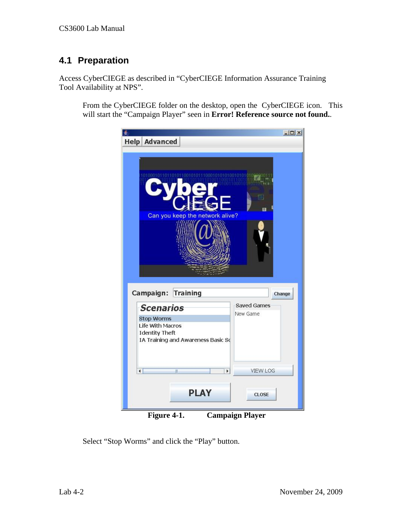## **4.1 Preparation**

Access CyberCIEGE as described in "CyberCIEGE Information Assurance Training Tool Availability at NPS".

From the CyberCIEGE folder on the desktop, open the CyberCIEGE icon. This will start the "Campaign Player" seen in **Error! Reference source not found.**.



**Figure 4-1. Campaign Player** 

Select "Stop Worms" and click the "Play" button.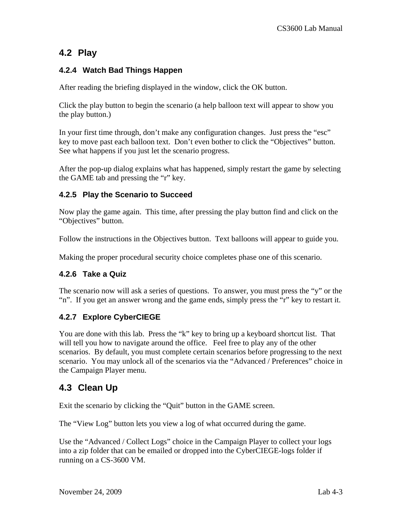### **4.2 Play**

#### **4.2.4 Watch Bad Things Happen**

After reading the briefing displayed in the window, click the OK button.

Click the play button to begin the scenario (a help balloon text will appear to show you the play button.)

In your first time through, don't make any configuration changes. Just press the "esc" key to move past each balloon text. Don't even bother to click the "Objectives" button. See what happens if you just let the scenario progress.

After the pop-up dialog explains what has happened, simply restart the game by selecting the GAME tab and pressing the "r" key.

#### **4.2.5 Play the Scenario to Succeed**

Now play the game again. This time, after pressing the play button find and click on the "Objectives" button.

Follow the instructions in the Objectives button. Text balloons will appear to guide you.

Making the proper procedural security choice completes phase one of this scenario.

#### **4.2.6 Take a Quiz**

The scenario now will ask a series of questions. To answer, you must press the "y" or the "n". If you get an answer wrong and the game ends, simply press the "r" key to restart it.

#### **4.2.7 Explore CyberCIEGE**

You are done with this lab. Press the "k" key to bring up a keyboard shortcut list. That will tell you how to navigate around the office. Feel free to play any of the other scenarios. By default, you must complete certain scenarios before progressing to the next scenario. You may unlock all of the scenarios via the "Advanced / Preferences" choice in the Campaign Player menu.

## **4.3 Clean Up**

Exit the scenario by clicking the "Quit" button in the GAME screen.

The "View Log" button lets you view a log of what occurred during the game.

Use the "Advanced / Collect Logs" choice in the Campaign Player to collect your logs into a zip folder that can be emailed or dropped into the CyberCIEGE-logs folder if running on a CS-3600 VM.